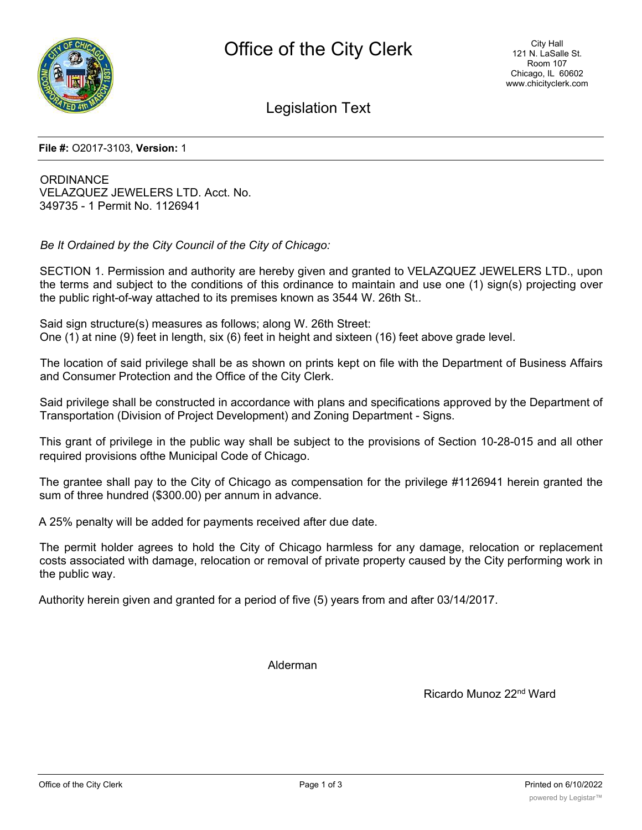

Legislation Text

**File #:** O2017-3103, **Version:** 1

**ORDINANCE** VELAZQUEZ JEWELERS LTD. Acct. No. 349735 - 1 Permit No. 1126941

*Be It Ordained by the City Council of the City of Chicago:*

SECTION 1. Permission and authority are hereby given and granted to VELAZQUEZ JEWELERS LTD., upon the terms and subject to the conditions of this ordinance to maintain and use one (1) sign(s) projecting over the public right-of-way attached to its premises known as 3544 W. 26th St..

Said sign structure(s) measures as follows; along W. 26th Street: One (1) at nine (9) feet in length, six (6) feet in height and sixteen (16) feet above grade level.

The location of said privilege shall be as shown on prints kept on file with the Department of Business Affairs and Consumer Protection and the Office of the City Clerk.

Said privilege shall be constructed in accordance with plans and specifications approved by the Department of Transportation (Division of Project Development) and Zoning Department - Signs.

This grant of privilege in the public way shall be subject to the provisions of Section 10-28-015 and all other required provisions ofthe Municipal Code of Chicago.

The grantee shall pay to the City of Chicago as compensation for the privilege #1126941 herein granted the sum of three hundred (\$300.00) per annum in advance.

A 25% penalty will be added for payments received after due date.

The permit holder agrees to hold the City of Chicago harmless for any damage, relocation or replacement costs associated with damage, relocation or removal of private property caused by the City performing work in the public way.

Authority herein given and granted for a period of five (5) years from and after 03/14/2017.

Alderman

Ricardo Munoz 22nd Ward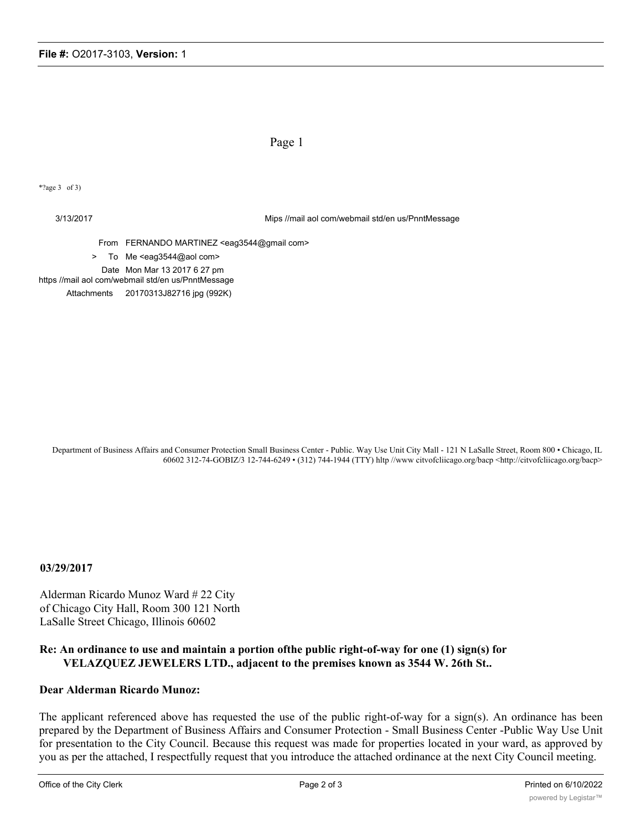Page 1

\*?age 3 of 3)

3/13/2017 Mips //mail aol com/webmail std/en us/PnntMessage

From FERNANDO MARTINEZ <eag3544@gmail com>

> To Me <eag3544@aol com>

Date Mon Mar 13 2017 6 27 pm

https //mail aol com/webmail std/en us/PnntMessage Attachments 20170313J82716 jpg (992K)

Department of Business Affairs and Consumer Protection Small Business Center - Public. Way Use Unit City Mall - 121 N LaSalle Street, Room 800 • Chicago, IL 60602 312-74-GOBIZ/3 12-744-6249 • (312) 744-1944 (TTY) hltp //www citvofcliicago.org/bacp <http://citvofcliicago.org/bacp>

**03/29/2017**

Alderman Ricardo Munoz Ward # 22 City of Chicago City Hall, Room 300 121 North LaSalle Street Chicago, Illinois 60602

## **Re: An ordinance to use and maintain a portion ofthe public right-of-way for one (1) sign(s) for VELAZQUEZ JEWELERS LTD., adjacent to the premises known as 3544 W. 26th St..**

## **Dear Alderman Ricardo Munoz:**

The applicant referenced above has requested the use of the public right-of-way for a sign(s). An ordinance has been prepared by the Department of Business Affairs and Consumer Protection - Small Business Center -Public Way Use Unit for presentation to the City Council. Because this request was made for properties located in your ward, as approved by you as per the attached, I respectfully request that you introduce the attached ordinance at the next City Council meeting.